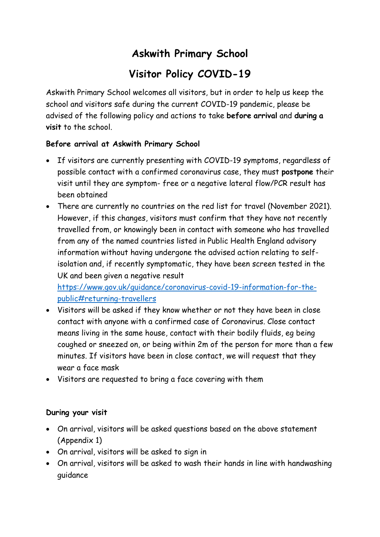# **Askwith Primary School**

# **Visitor Policy COVID-19**

Askwith Primary School welcomes all visitors, but in order to help us keep the school and visitors safe during the current COVID-19 pandemic, please be advised of the following policy and actions to take **before arrival** and **during a visit** to the school.

### **Before arrival at Askwith Primary School**

- If visitors are currently presenting with COVID-19 symptoms, regardless of possible contact with a confirmed coronavirus case, they must **postpone** their visit until they are symptom- free or a negative lateral flow/PCR result has been obtained
- There are currently no countries on the red list for travel (November 2021). However, if this changes, visitors must confirm that they have not recently travelled from, or knowingly been in contact with someone who has travelled from any of the named countries listed in Public Health England advisory information without having undergone the advised action relating to selfisolation and, if recently symptomatic, they have been screen tested in the UK and been given a negative result

[https://www.gov.uk/guidance/coronavirus-covid-19-information-for-the](https://www.gov.uk/guidance/coronavirus-covid-19-information-for-the-public#returning-travellers)[public#returning-travellers](https://www.gov.uk/guidance/coronavirus-covid-19-information-for-the-public#returning-travellers)

- Visitors will be asked if they know whether or not they have been in close contact with anyone with a confirmed case of Coronavirus. Close contact means living in the same house, contact with their bodily fluids, eg being coughed or sneezed on, or being within 2m of the person for more than a few minutes. If visitors have been in close contact, we will request that they wear a face mask
- Visitors are requested to bring a face covering with them

#### **During your visit**

- On arrival, visitors will be asked questions based on the above statement (Appendix 1)
- On arrival, visitors will be asked to sign in
- On arrival, visitors will be asked to wash their hands in line with handwashing guidance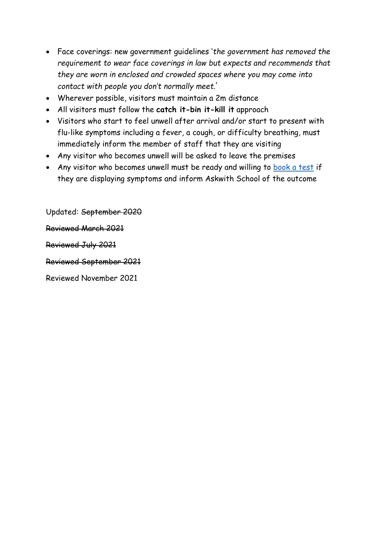- Face coverings: new government guidelines '*the government has removed the requirement to wear face coverings in law but expects and recommends that they are worn in enclosed and crowded spaces where you may come into contact with people you don't normally meet.*'
- Wherever possible, visitors must maintain a 2m distance
- All visitors must follow the **catch it-bin it-kill it** approach
- Visitors who start to feel unwell after arrival and/or start to present with flu-like symptoms including a fever, a cough, or difficulty breathing, must immediately inform the member of staff that they are visiting
- Any visitor who becomes unwell will be asked to leave the premises
- Any visitor who becomes unwell must be ready and willing to [book a test](https://www.gov.uk/guidance/coronavirus-covid-19-getting-tested) if they are displaying symptoms and inform Askwith School of the outcome

Updated: September 2020 Reviewed March 2021 Reviewed July 2021 Reviewed September 2021

Reviewed November 2021